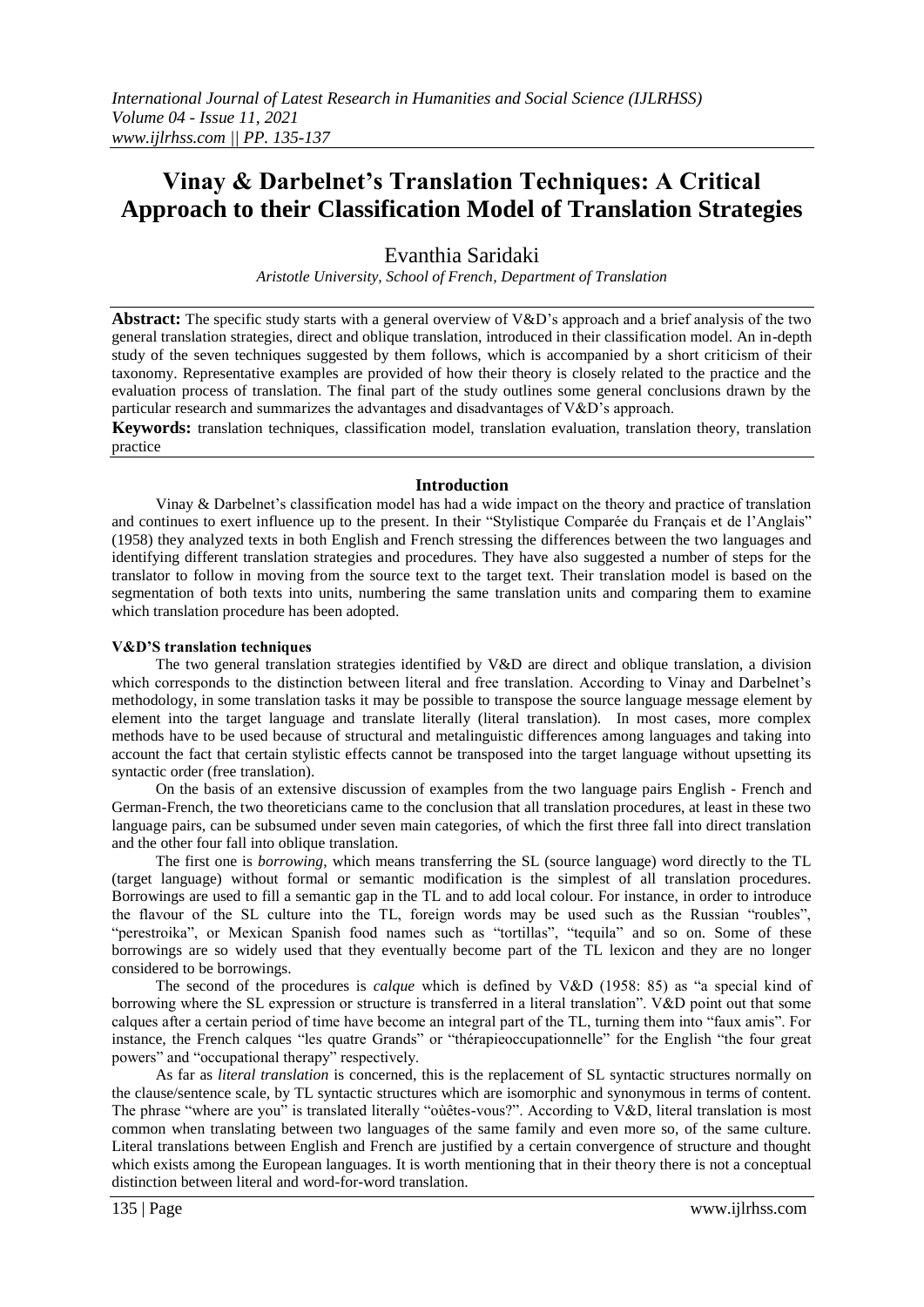# **Vinay & Darbelnet's Translation Techniques: A Critical Approach to their Classification Model of Translation Strategies**

Evanthia Saridaki

*Aristotle University, School of French, Department of Translation*

**Abstract:** The specific study starts with a general overview of V&D's approach and a brief analysis of the two general translation strategies, direct and oblique translation, introduced in their classification model. An in-depth study of the seven techniques suggested by them follows, which is accompanied by a short criticism of their taxonomy. Representative examples are provided of how their theory is closely related to the practice and the evaluation process of translation. The final part of the study outlines some general conclusions drawn by the particular research and summarizes the advantages and disadvantages of V&D's approach.

**Κeywords:** translation techniques, classification model, translation evaluation, translation theory, translation practice

### **Introduction**

Vinay & Darbelnet's classification model has had a wide impact on the theory and practice of translation and continues to exert influence up to the present. Ιn their "Stylistique Comparée du Français et de l'Anglais" (1958) they analyzed texts in both English and French stressing the differences between the two languages and identifying different translation strategies and procedures. They have also suggested a number of steps for the translator to follow in moving from the source text to the target text. Their translation model is based on the segmentation of both texts into units, numbering the same translation units and comparing them to examine which translation procedure has been adopted.

#### **V&D'S translation techniques**

The two general translation strategies identified by V&D are direct and oblique translation, a division which corresponds to the distinction between literal and free translation. According to Vinay and Darbelnet's methodology, in some translation tasks it may be possible to transpose the source language message element by element into the target language and translate literally (literal translation). In most cases, more complex methods have to be used because of structural and metalinguistic differences among languages and taking into account the fact that certain stylistic effects cannot be transposed into the target language without upsetting its syntactic order (free translation).

On the basis of an extensive discussion of examples from the two language pairs English - French and German-French, the two theoreticians came to the conclusion that all translation procedures, at least in these two language pairs, can be subsumed under seven main categories, of which the first three fall into direct translation and the other four fall into oblique translation.

The first one is *borrowing*, which means transferring the SL (source language) word directly to the TL (target language) without formal or semantic modification is the simplest of all translation procedures. Borrowings are used to fill a semantic gap in the TL and to add local colour. For instance, in order to introduce the flavour of the SL culture into the TL, foreign words may be used such as the Russian "roubles", "perestroika", or Mexican Spanish food names such as "tortillas", "tequila" and so on. Some of these borrowings are so widely used that they eventually become part of the TL lexicon and they are no longer considered to be borrowings.

The second of the procedures is *calque* which is defined by V&D (1958: 85) as "a special kind of borrowing where the SL expression or structure is transferred in a literal translation". V&D point out that some calques after a certain period of time have become an integral part of the TL, turning them into "faux amis". For instance, the French calques "les quatre Grands" or "thérapieoccupationnelle" for the English "the four great powers" and "occupational therapy" respectively.

As far as *literal translation* is concerned, this is the replacement of SL syntactic structures normally on the clause/sentence scale, by TL syntactic structures which are isomorphic and synonymous in terms of content. The phrase "where are you" is translated literally "oùêtes-vous?". According to V&D, literal translation is most common when translating between two languages of the same family and even more so, of the same culture. Literal translations between English and French are justified by a certain convergence of structure and thought which exists among the European languages. It is worth mentioning that in their theory there is not a conceptual distinction between literal and word-for-word translation.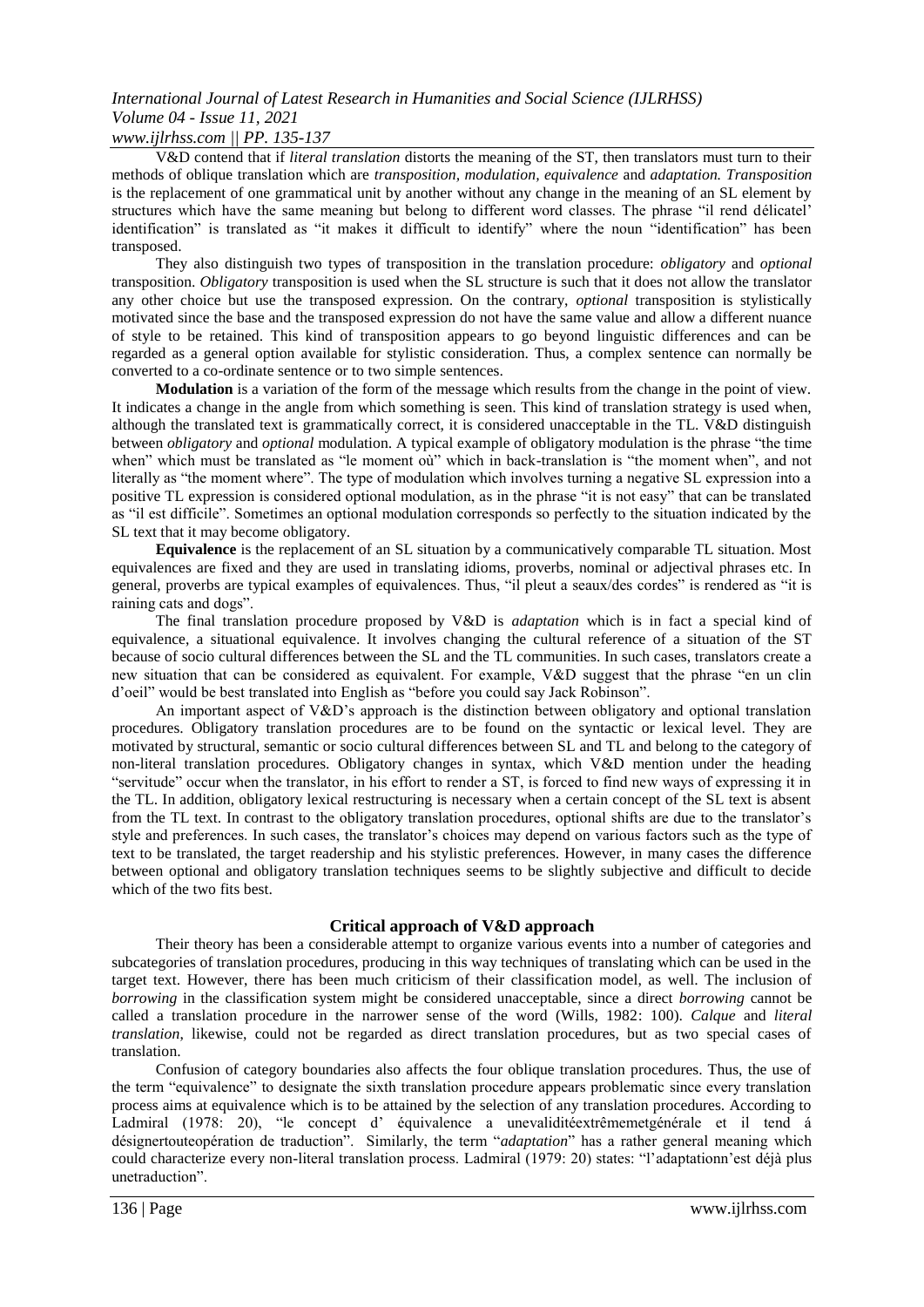# *International Journal of Latest Research in Humanities and Social Science (IJLRHSS) Volume 04 - Issue 11, 2021*

### *www.ijlrhss.com || PP. 135-137*

V&D contend that if *literal translation* distorts the meaning of the ST, then translators must turn to their methods of oblique translation which are *transposition, modulation, equivalence* and *adaptation. Transposition* is the replacement of one grammatical unit by another without any change in the meaning of an SL element by structures which have the same meaning but belong to different word classes. The phrase "il rend délicatel' identification" is translated as "it makes it difficult to identify" where the noun "identification" has been transposed.

They also distinguish two types of transposition in the translation procedure: *obligatory* and *optional* transposition. *Obligatory* transposition is used when the SL structure is such that it does not allow the translator any other choice but use the transposed expression. On the contrary, *optional* transposition is stylistically motivated since the base and the transposed expression do not have the same value and allow a different nuance of style to be retained. This kind of transposition appears to go beyond linguistic differences and can be regarded as a general option available for stylistic consideration. Thus, a complex sentence can normally be converted to a co-ordinate sentence or to two simple sentences.

**Modulation** is a variation of the form of the message which results from the change in the point of view. It indicates a change in the angle from which something is seen. This kind of translation strategy is used when, although the translated text is grammatically correct, it is considered unacceptable in the TL. V&D distinguish between *obligatory* and *optional* modulation. A typical example of obligatory modulation is the phrase "the time when" which must be translated as "le moment où" which in back-translation is "the moment when", and not literally as "the moment where". The type of modulation which involves turning a negative SL expression into a positive TL expression is considered optional modulation, as in the phrase "it is not easy" that can be translated as "il est difficile". Sometimes an optional modulation corresponds so perfectly to the situation indicated by the SL text that it may become obligatory.

**Equivalence** is the replacement of an SL situation by a communicatively comparable TL situation. Most equivalences are fixed and they are used in translating idioms, proverbs, nominal or adjectival phrases etc. In general, proverbs are typical examples of equivalences. Thus, "il pleut a seaux/des cordes" is rendered as "it is raining cats and dogs".

The final translation procedure proposed by V&D is *adaptation* which is in fact a special kind of equivalence, a situational equivalence. It involves changing the cultural reference of a situation of the ST because of socio cultural differences between the SL and the TL communities. In such cases, translators create a new situation that can be considered as equivalent. For example, V&D suggest that the phrase "en un clin d'oeil" would be best translated into English as "before you could say Jack Robinson".

An important aspect of V&D's approach is the distinction between obligatory and optional translation procedures. Obligatory translation procedures are to be found on the syntactic or lexical level. They are motivated by structural, semantic or socio cultural differences between SL and TL and belong to the category of non-literal translation procedures. Obligatory changes in syntax, which V&D mention under the heading "servitude" occur when the translator, in his effort to render a ST, is forced to find new ways of expressing it in the TL. In addition, obligatory lexical restructuring is necessary when a certain concept of the SL text is absent from the TL text. In contrast to the obligatory translation procedures, optional shifts are due to the translator's style and preferences. In such cases, the translator's choices may depend on various factors such as the type of text to be translated, the target readership and his stylistic preferences. However, in many cases the difference between optional and obligatory translation techniques seems to be slightly subjective and difficult to decide which of the two fits best.

### **Critical approach of V&D approach**

Their theory has been a considerable attempt to organize various events into a number of categories and subcategories of translation procedures, producing in this way techniques of translating which can be used in the target text. However, there has been much criticism of their classification model, as well. The inclusion of *borrowing* in the classification system might be considered unacceptable, since a direct *borrowing* cannot be called a translation procedure in the narrower sense of the word (Wills, 1982: 100). *Calque* and *literal translation*, likewise, could not be regarded as direct translation procedures, but as two special cases of translation.

Confusion of category boundaries also affects the four oblique translation procedures. Thus, the use of the term "equivalence" to designate the sixth translation procedure appears problematic since every translation process aims at equivalence which is to be attained by the selection of any translation procedures. According to Ladmiral (1978: 20), "le concept d' équivalence a unevaliditéextrêmemetgénérale et il tend á désignertouteopération de traduction". Similarly, the term "*adaptation*" has a rather general meaning which could characterize every non-literal translation process. Ladmiral (1979: 20) states: "l'adaptationn'est déjà plus unetraduction".